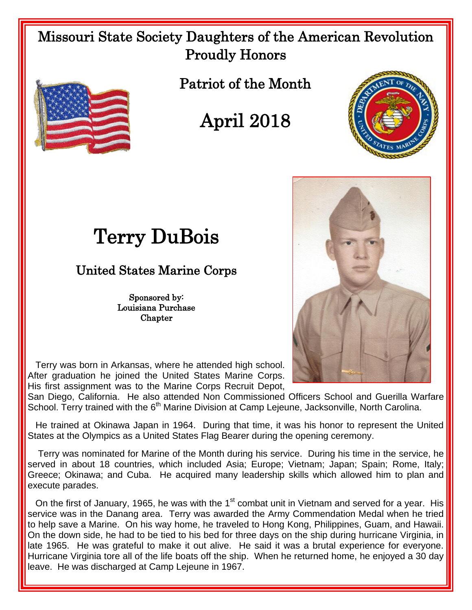## Missouri State Society Daughters of the American Revolution Proudly Honors



Patriot of the Month

## April 2018





Terry DuBois

## United States Marine Corps

Sponsored by: Louisiana Purchase Chapter

 Terry was born in Arkansas, where he attended high school. After graduation he joined the United States Marine Corps. His first assignment was to the Marine Corps Recruit Depot,

San Diego, California. He also attended Non Commissioned Officers School and Guerilla Warfare School. Terry trained with the 6<sup>th</sup> Marine Division at Camp Lejeune, Jacksonville, North Carolina.

 He trained at Okinawa Japan in 1964. During that time, it was his honor to represent the United States at the Olympics as a United States Flag Bearer during the opening ceremony.

 Terry was nominated for Marine of the Month during his service. During his time in the service, he served in about 18 countries, which included Asia; Europe; Vietnam; Japan; Spain; Rome, Italy; Greece; Okinawa; and Cuba. He acquired many leadership skills which allowed him to plan and execute parades.

On the first of January, 1965, he was with the 1<sup>st</sup> combat unit in Vietnam and served for a year. His service was in the Danang area. Terry was awarded the Army Commendation Medal when he tried to help save a Marine. On his way home, he traveled to Hong Kong, Philippines, Guam, and Hawaii. On the down side, he had to be tied to his bed for three days on the ship during hurricane Virginia, in late 1965. He was grateful to make it out alive. He said it was a brutal experience for everyone. Hurricane Virginia tore all of the life boats off the ship. When he returned home, he enjoyed a 30 day leave. He was discharged at Camp Lejeune in 1967.